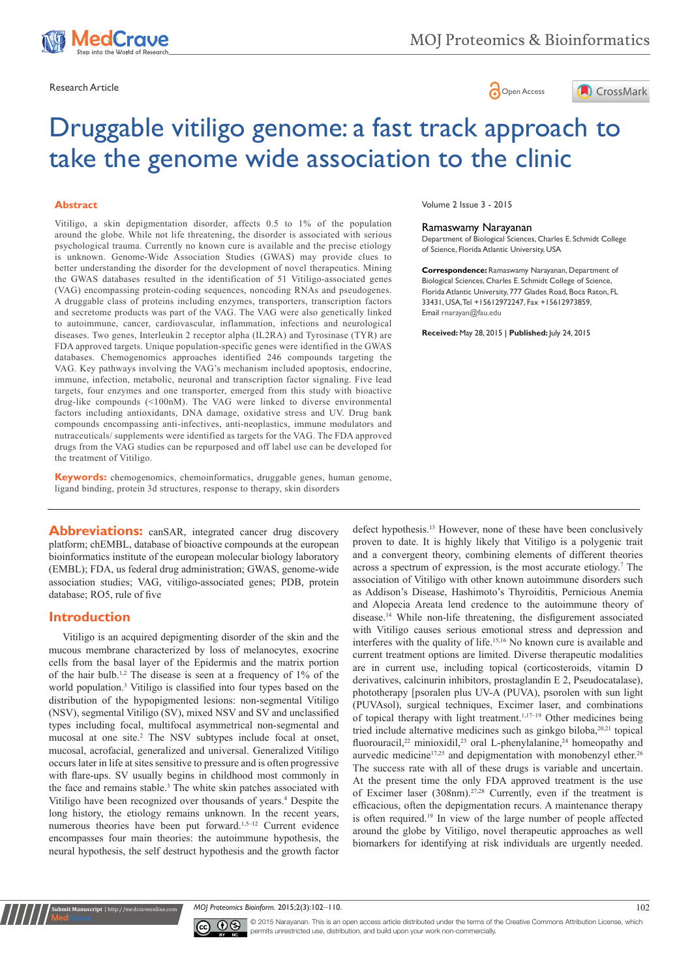





# Druggable vitiligo genome: a fast track approach to take the genome wide association to the clinic

## **Abstract**

Vitiligo, a skin depigmentation disorder, affects 0.5 to 1% of the population around the globe. While not life threatening, the disorder is associated with serious psychological trauma. Currently no known cure is available and the precise etiology is unknown. Genome-Wide Association Studies (GWAS) may provide clues to better understanding the disorder for the development of novel therapeutics. Mining the GWAS databases resulted in the identification of 51 Vitiligo-associated genes (VAG) encompassing protein-coding sequences, noncoding RNAs and pseudogenes. A druggable class of proteins including enzymes, transporters, transcription factors and secretome products was part of the VAG. The VAG were also genetically linked to autoimmune, cancer, cardiovascular, inflammation, infections and neurological diseases. Two genes, Interleukin 2 receptor alpha (IL2RA) and Tyrosinase (TYR) are FDA approved targets. Unique population-specific genes were identified in the GWAS databases. Chemogenomics approaches identified 246 compounds targeting the VAG. Key pathways involving the VAG's mechanism included apoptosis, endocrine, immune, infection, metabolic, neuronal and transcription factor signaling. Five lead targets, four enzymes and one transporter, emerged from this study with bioactive drug-like compounds (<100nM). The VAG were linked to diverse environmental factors including antioxidants, DNA damage, oxidative stress and UV. Drug bank compounds encompassing anti-infectives, anti-neoplastics, immune modulators and nutraceuticals/ supplements were identified as targets for the VAG. The FDA approved drugs from the VAG studies can be repurposed and off label use can be developed for the treatment of Vitiligo.

**Keywords:** chemogenomics, chemoinformatics, druggable genes, human genome, ligand binding, protein 3d structures, response to therapy, skin disorders

**Abbreviations:** canSAR, integrated cancer drug discovery platform; chEMBL, database of bioactive compounds at the european bioinformatics institute of the european molecular biology laboratory (EMBL); FDA, us federal drug administration; GWAS, genome-wide association studies; VAG, vitiligo-associated genes; PDB, protein database; RO5, rule of five

## **Introduction**

**nit Manuscript** | http://medcraveonline

Vitiligo is an acquired depigmenting disorder of the skin and the mucous membrane characterized by loss of melanocytes, exocrine cells from the basal layer of the Epidermis and the matrix portion of the hair bulb.<sup>1,2</sup> The disease is seen at a frequency of  $1\%$  of the world population.<sup>3</sup> Vitiligo is classified into four types based on the distribution of the hypopigmented lesions: non-segmental Vitiligo (NSV), segmental Vitiligo (SV), mixed NSV and SV and unclassified types including focal, multifocal asymmetrical non-segmental and mucosal at one site.<sup>2</sup> The NSV subtypes include focal at onset, mucosal, acrofacial, generalized and universal. Generalized Vitiligo occurs later in life at sites sensitive to pressure and is often progressive with flare-ups. SV usually begins in childhood most commonly in the face and remains stable.<sup>3</sup> The white skin patches associated with Vitiligo have been recognized over thousands of years.<sup>4</sup> Despite the long history, the etiology remains unknown. In the recent years, numerous theories have been put forward.<sup>1,5–12</sup> Current evidence encompasses four main theories: the autoimmune hypothesis, the neural hypothesis, the self destruct hypothesis and the growth factor

Volume 2 Issue 3 - 2015

#### Ramaswamy Narayanan

Department of Biological Sciences, Charles E. Schmidt College of Science, Florida Atlantic University, USA

**Correspondence:** Ramaswamy Narayanan, Department of Biological Sciences, Charles E. Schmidt College of Science, Florida Atlantic University, 777 Glades Road, Boca Raton, FL 33431, USA, Tel +15612972247, Fax +15612973859, Email rnarayan@fau.edu

**Received:** May 28, 2015 | **Published:** July 24, 2015

defect hypothesis.<sup>13</sup> However, none of these have been conclusively proven to date. It is highly likely that Vitiligo is a polygenic trait and a convergent theory, combining elements of different theories across a spectrum of expression, is the most accurate etiology.7 The association of Vitiligo with other known autoimmune disorders such as Addison's Disease, Hashimoto's Thyroiditis, Pernicious Anemia and Alopecia Areata lend credence to the autoimmune theory of disease.14 While non-life threatening, the disfigurement associated with Vitiligo causes serious emotional stress and depression and interferes with the quality of life.15,16 No known cure is available and current treatment options are limited. Diverse therapeutic modalities are in current use, including topical (corticosteroids, vitamin D derivatives, calcinurin inhibitors, prostaglandin E 2, Pseudocatalase), phototherapy [psoralen plus UV-A (PUVA), psorolen with sun light (PUVAsol), surgical techniques, Excimer laser, and combinations of topical therapy with light treatment.1,17–19 Other medicines being tried include alternative medicines such as ginkgo biloba,<sup>20,21</sup> topical fluorouracil,<sup>22</sup> minioxidil,<sup>23</sup> oral L-phenylalanine,<sup>24</sup> homeopathy and aurvedic medicine<sup>17,25</sup> and depigmentation with monobenzyl ether.<sup>26</sup> The success rate with all of these drugs is variable and uncertain. At the present time the only FDA approved treatment is the use of Excimer laser (308nm).27,28 Currently, even if the treatment is efficacious, often the depigmentation recurs. A maintenance therapy is often required.19 In view of the large number of people affected around the globe by Vitiligo, novel therapeutic approaches as well biomarkers for identifying at risk individuals are urgently needed.

*MOJ Proteomics Bioinform.* 2015;2(3):102–110. 102



© 2015 Narayanan. This is an open access article distributed under the terms of the [Creative Commons Attribution License,](https://creativecommons.org/licenses/by-nc/4.0/) which permits unrestricted use, distribution, and build upon your work non-commercially.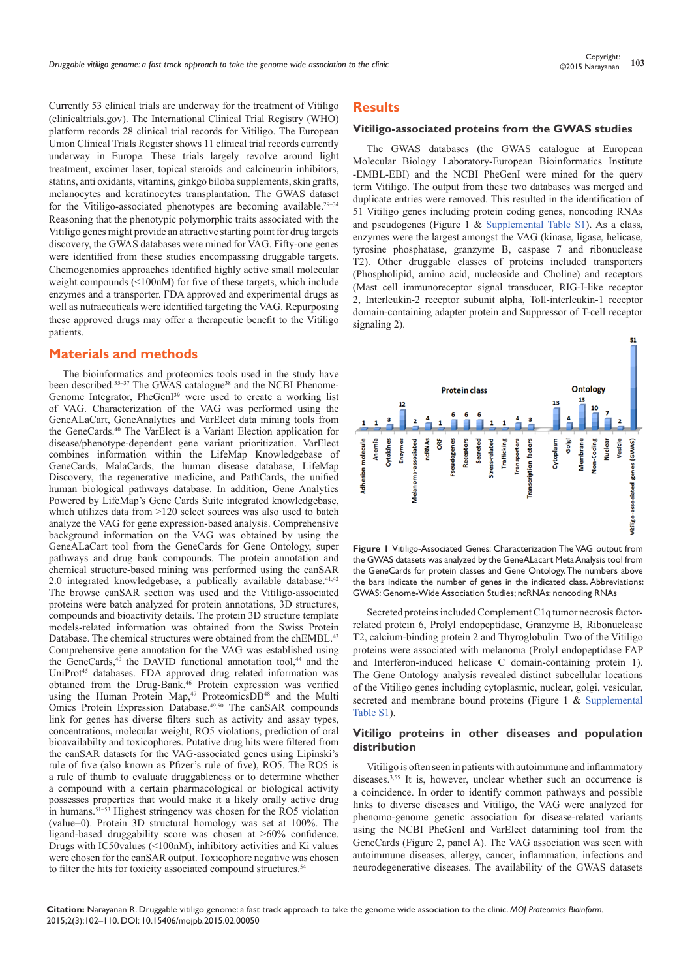Currently 53 clinical trials are underway for the treatment of Vitiligo (clinicaltrials.gov). The International Clinical Trial Registry (WHO) platform records 28 clinical trial records for Vitiligo. The European Union Clinical Trials Register shows 11 clinical trial records currently underway in Europe. These trials largely revolve around light treatment, excimer laser, topical steroids and calcineurin inhibitors, statins, anti oxidants, vitamins, ginkgo biloba supplements, skin grafts, melanocytes and keratinocytes transplantation. The GWAS dataset for the Vitiligo-associated phenotypes are becoming available.<sup>29-34</sup> Reasoning that the phenotypic polymorphic traits associated with the Vitiligo genes might provide an attractive starting point for drug targets discovery, the GWAS databases were mined for VAG. Fifty-one genes were identified from these studies encompassing druggable targets. Chemogenomics approaches identified highly active small molecular weight compounds (<100nM) for five of these targets, which include enzymes and a transporter. FDA approved and experimental drugs as well as nutraceuticals were identified targeting the VAG. Repurposing these approved drugs may offer a therapeutic benefit to the Vitiligo patients.

## **Materials and methods**

The bioinformatics and proteomics tools used in the study have been described.<sup>35-37</sup> The GWAS catalogue<sup>38</sup> and the NCBI Phenome-Genome Integrator, PheGenI<sup>39</sup> were used to create a working list of VAG. Characterization of the VAG was performed using the GeneALaCart, GeneAnalytics and VarElect data mining tools from the GeneCards.40 The VarElect is a Variant Election application for disease/phenotype-dependent gene variant prioritization. VarElect combines information within the LifeMap Knowledgebase of GeneCards, MalaCards, the human disease database, LifeMap Discovery, the regenerative medicine, and PathCards, the unified human biological pathways database. In addition, Gene Analytics Powered by LifeMap's Gene Cards Suite integrated knowledgebase, which utilizes data from >120 select sources was also used to batch analyze the VAG for gene expression-based analysis. Comprehensive background information on the VAG was obtained by using the GeneALaCart tool from the GeneCards for Gene Ontology, super pathways and drug bank compounds. The protein annotation and chemical structure-based mining was performed using the canSAR 2.0 integrated knowledgebase, a publically available database.<sup>41,42</sup> The browse canSAR section was used and the Vitiligo-associated proteins were batch analyzed for protein annotations, 3D structures, compounds and bioactivity details. The protein 3D structure template models-related information was obtained from the Swiss Protein Database. The chemical structures were obtained from the chEMBL.<sup>43</sup> Comprehensive gene annotation for the VAG was established using the GeneCards, $40$  the DAVID functional annotation tool, $44$  and the UniProt<sup>45</sup> databases. FDA approved drug related information was obtained from the Drug-Bank.46 Protein expression was verified using the Human Protein Map,<sup>47</sup> ProteomicsDB<sup>48</sup> and the Multi Omics Protein Expression Database.<sup>49,50</sup> The canSAR compounds link for genes has diverse filters such as activity and assay types, concentrations, molecular weight, RO5 violations, prediction of oral bioavailabilty and toxicophores. Putative drug hits were filtered from the canSAR datasets for the VAG-associated genes using Lipinski's rule of five (also known as Pfizer's rule of five), RO5. The RO5 is a rule of thumb to evaluate druggableness or to determine whether a compound with a certain pharmacological or biological activity possesses properties that would make it a likely orally active drug in humans.<sup>51–53</sup> Highest stringency was chosen for the RO5 violation (value=0). Protein 3D structural homology was set at 100%. The ligand-based druggability score was chosen at >60% confidence. Drugs with IC50values (<100nM), inhibitory activities and Ki values were chosen for the canSAR output. Toxicophore negative was chosen to filter the hits for toxicity associated compound structures.<sup>54</sup>

## **Results**

#### **Vitiligo-associated proteins from the GWAS studies**

The GWAS databases (the GWAS catalogue at European Molecular Biology Laboratory-European Bioinformatics Institute -EMBL-EBI) and the NCBI PheGenI were mined for the query term Vitiligo. The output from these two databases was merged and duplicate entries were removed. This resulted in the identification of 51 Vitiligo genes including protein coding genes, noncoding RNAs and pseudogenes (Figure 1 & [Supplemental Table S1](https://medcraveonline.com/MOJPB/MOJPB-02-00050s.zip)). As a class, enzymes were the largest amongst the VAG (kinase, ligase, helicase, tyrosine phosphatase, granzyme B, caspase 7 and ribonuclease T2). Other druggable classes of proteins included transporters (Phospholipid, amino acid, nucleoside and Choline) and receptors (Mast cell immunoreceptor signal transducer, RIG-I-like receptor 2, Interleukin-2 receptor subunit alpha, Toll-interleukin-1 receptor domain-containing adapter protein and Suppressor of T-cell receptor signaling 2).



**Figure 1** Vitiligo-Associated Genes: Characterization The VAG output from the GWAS datasets was analyzed by the GeneALacart Meta Analysis tool from the GeneCards for protein classes and Gene Ontology. The numbers above the bars indicate the number of genes in the indicated class. Abbreviations: GWAS: Genome-Wide Association Studies; ncRNAs: noncoding RNAs

Secreted proteins included Complement C1q tumor necrosis factorrelated protein 6, Prolyl endopeptidase, Granzyme B, Ribonuclease T2, calcium-binding protein 2 and Thyroglobulin. Two of the Vitiligo proteins were associated with melanoma (Prolyl endopeptidase FAP and Interferon-induced helicase C domain-containing protein 1). The Gene Ontology analysis revealed distinct subcellular locations of the Vitiligo genes including cytoplasmic, nuclear, golgi, vesicular, secreted and membrane bound proteins (Figure 1 & Supplemental [Table S1](https://medcraveonline.com/MOJPB/MOJPB-02-00050s.zip)).

## **Vitiligo proteins in other diseases and population distribution**

Vitiligo is often seen in patients with autoimmune and inflammatory diseases.3,55 It is, however, unclear whether such an occurrence is a coincidence. In order to identify common pathways and possible links to diverse diseases and Vitiligo, the VAG were analyzed for phenomo-genome genetic association for disease-related variants using the NCBI PheGenI and VarElect datamining tool from the GeneCards (Figure 2, panel A). The VAG association was seen with autoimmune diseases, allergy, cancer, inflammation, infections and neurodegenerative diseases. The availability of the GWAS datasets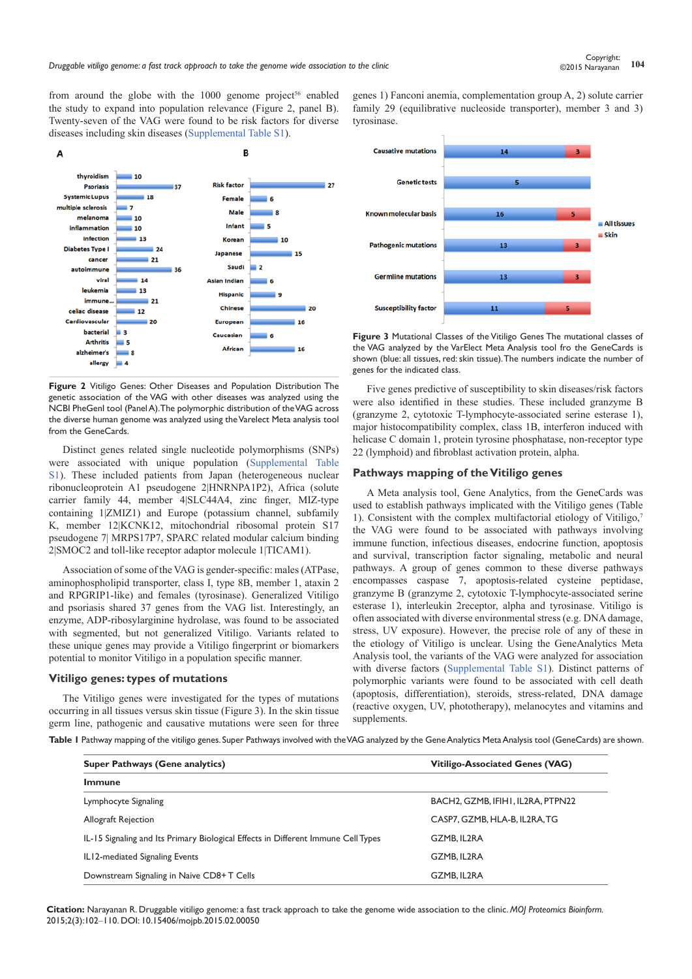from around the globe with the  $1000$  genome project<sup>56</sup> enabled the study to expand into population relevance (Figure 2, panel B). Twenty-seven of the VAG were found to be risk factors for diverse diseases including skin diseases ([Supplemental Table S1](https://medcraveonline.com/MOJPB/MOJPB-02-00050s.zip)).



**Figure 2** Vitiligo Genes: Other Diseases and Population Distribution The genetic association of the VAG with other diseases was analyzed using the NCBI PheGenI tool (Panel A). The polymorphic distribution of the VAG across the diverse human genome was analyzed using the Varelect Meta analysis tool from the GeneCards.

Distinct genes related single nucleotide polymorphisms (SNPs) were associated with unique population [\(Supplemental Table](https://medcraveonline.com/MOJPB/MOJPB-02-00050s.zip)  [S](https://medcraveonline.com/MOJPB/MOJPB-02-00050s.zip)1). These included patients from Japan (heterogeneous nuclear ribonucleoprotein A1 pseudogene 2|HNRNPA1P2), Africa (solute carrier family 44, member 4|SLC44A4, zinc finger, MIZ-type containing 1|ZMIZ1) and Europe (potassium channel, subfamily K, member 12|KCNK12, mitochondrial ribosomal protein S17 pseudogene 7| MRPS17P7, SPARC related modular calcium binding 2|SMOC2 and toll-like receptor adaptor molecule 1|TICAM1).

Association of some of the VAG is gender-specific: males (ATPase, aminophospholipid transporter, class I, type 8B, member 1, ataxin 2 and RPGRIP1-like) and females (tyrosinase). Generalized Vitiligo and psoriasis shared 37 genes from the VAG list. Interestingly, an enzyme, ADP-ribosylarginine hydrolase, was found to be associated with segmented, but not generalized Vitiligo. Variants related to these unique genes may provide a Vitiligo fingerprint or biomarkers potential to monitor Vitiligo in a population specific manner.

### **Vitiligo genes: types of mutations**

The Vitiligo genes were investigated for the types of mutations occurring in all tissues versus skin tissue (Figure 3). In the skin tissue germ line, pathogenic and causative mutations were seen for three

genes 1) Fanconi anemia, complementation group A, 2) solute carrier family 29 (equilibrative nucleoside transporter), member 3 and 3) tyrosinase.



**Figure 3** Mutational Classes of the Vitiligo Genes The mutational classes of the VAG analyzed by the VarElect Meta Analysis tool fro the GeneCards is shown (blue: all tissues, red: skin tissue). The numbers indicate the number of genes for the indicated class.

Five genes predictive of susceptibility to skin diseases/risk factors were also identified in these studies. These included granzyme B (granzyme 2, cytotoxic T-lymphocyte-associated serine esterase 1), major histocompatibility complex, class 1B, interferon induced with helicase C domain 1, protein tyrosine phosphatase, non-receptor type 22 (lymphoid) and fibroblast activation protein, alpha.

### **Pathways mapping of the Vitiligo genes**

A Meta analysis tool, Gene Analytics, from the GeneCards was used to establish pathways implicated with the Vitiligo genes (Table 1). Consistent with the complex multifactorial etiology of Vitiligo,<sup>7</sup> the VAG were found to be associated with pathways involving immune function, infectious diseases, endocrine function, apoptosis and survival, transcription factor signaling, metabolic and neural pathways. A group of genes common to these diverse pathways encompasses caspase 7, apoptosis-related cysteine peptidase, granzyme B (granzyme 2, cytotoxic T-lymphocyte-associated serine esterase 1), interleukin 2receptor, alpha and tyrosinase. Vitiligo is often associated with diverse environmental stress (e.g. DNA damage, stress, UV exposure). However, the precise role of any of these in the etiology of Vitiligo is unclear. Using the GeneAnalytics Meta Analysis tool, the variants of the VAG were analyzed for association with diverse factors [\(Supplemental Table S1\)](https://medcraveonline.com/MOJPB/MOJPB-02-00050s.zip). Distinct patterns of polymorphic variants were found to be associated with cell death (apoptosis, differentiation), steroids, stress-related, DNA damage (reactive oxygen, UV, phototherapy), melanocytes and vitamins and supplements.

**Table 1** Pathway mapping of the vitiligo genes. Super Pathways involved with the VAG analyzed by the Gene Analytics Meta Analysis tool (GeneCards) are shown.

| Super Pathways (Gene analytics)                                                   | <b>Vitiligo-Associated Genes (VAG)</b> |
|-----------------------------------------------------------------------------------|----------------------------------------|
| <b>Immune</b>                                                                     |                                        |
| Lymphocyte Signaling                                                              | BACH2, GZMB, IFIH1, IL2RA, PTPN22      |
| Allograft Rejection                                                               | CASP7, GZMB, HLA-B, IL2RA, TG          |
| IL-15 Signaling and Its Primary Biological Effects in Different Immune Cell Types | GZMB. IL2RA                            |
| IL12-mediated Signaling Events                                                    | GZMB. IL2RA                            |
| Downstream Signaling in Naive CD8+T Cells                                         | GZMB. IL2RA                            |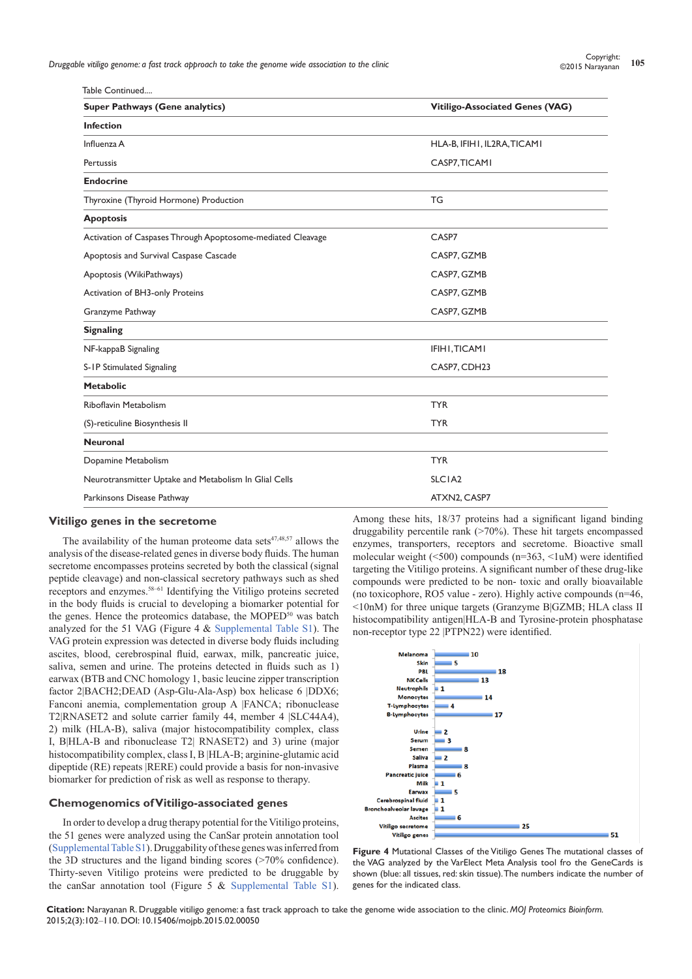*Druggable vitiligo genome: a fast track approach to take the genome wide association to the clinic* **<sup>105</sup>** Copyright:

| Table Continued                                             |                                        |
|-------------------------------------------------------------|----------------------------------------|
| <b>Super Pathways (Gene analytics)</b>                      | <b>Vitiligo-Associated Genes (VAG)</b> |
| <b>Infection</b>                                            |                                        |
| Influenza A                                                 | HLA-B, IFIHI, IL2RA, TICAMI            |
| Pertussis                                                   | CASP7, TICAMI                          |
| <b>Endocrine</b>                                            |                                        |
| Thyroxine (Thyroid Hormone) Production                      | TG                                     |
| <b>Apoptosis</b>                                            |                                        |
| Activation of Caspases Through Apoptosome-mediated Cleavage | CASP7                                  |
| Apoptosis and Survival Caspase Cascade                      | CASP7, GZMB                            |
| Apoptosis (WikiPathways)                                    | CASP7, GZMB                            |
| Activation of BH3-only Proteins                             | CASP7, GZMB                            |
| Granzyme Pathway                                            | CASP7, GZMB                            |
| <b>Signaling</b>                                            |                                        |
| NF-kappaB Signaling                                         | IFIHI, TICAMI                          |
| S-IP Stimulated Signaling                                   | CASP7, CDH23                           |
| <b>Metabolic</b>                                            |                                        |
| Riboflavin Metabolism                                       | <b>TYR</b>                             |
| (S)-reticuline Biosynthesis II                              | <b>TYR</b>                             |
| <b>Neuronal</b>                                             |                                        |
| Dopamine Metabolism                                         | <b>TYR</b>                             |
| Neurotransmitter Uptake and Metabolism In Glial Cells       | SLCIA <sub>2</sub>                     |
| Parkinsons Disease Pathway                                  | ATXN2, CASP7                           |

#### **Vitiligo genes in the secretome**

The availability of the human proteome data sets $47,48,57$  allows the analysis of the disease-related genes in diverse body fluids. The human secretome encompasses proteins secreted by both the classical (signal peptide cleavage) and non-classical secretory pathways such as shed receptors and enzymes.58–61 Identifying the Vitiligo proteins secreted in the body fluids is crucial to developing a biomarker potential for the genes. Hence the proteomics database, the MOPED<sup>50</sup> was batch analyzed for the 51 VAG (Figure 4 & [Supplemental Table S1\)](https://medcraveonline.com/MOJPB/MOJPB-02-00050s.zip). The VAG protein expression was detected in diverse body fluids including ascites, blood, cerebrospinal fluid, earwax, milk, pancreatic juice, saliva, semen and urine. The proteins detected in fluids such as 1) earwax (BTB and CNC homology 1, basic leucine zipper transcription factor 2|BACH2;DEAD (Asp-Glu-Ala-Asp) box helicase 6 |DDX6; Fanconi anemia, complementation group A |FANCA; ribonuclease T2|RNASET2 and solute carrier family 44, member 4 |SLC44A4), 2) milk (HLA-B), saliva (major histocompatibility complex, class I, B|HLA-B and ribonuclease T2| RNASET2) and 3) urine (major histocompatibility complex, class I, B |HLA-B; arginine-glutamic acid dipeptide (RE) repeats |RERE) could provide a basis for non-invasive biomarker for prediction of risk as well as response to therapy.

## **Chemogenomics of Vitiligo-associated genes**

In order to develop a drug therapy potential for the Vitiligo proteins, the 51 genes were analyzed using the CanSar protein annotation tool ([Supplemental Table S1\)](https://medcraveonline.com/MOJPB/MOJPB-02-00050s.zip). Druggability of these genes was inferred from the 3D structures and the ligand binding scores (>70% confidence). Thirty-seven Vitiligo proteins were predicted to be druggable by the canSar annotation tool (Figure 5 & [Supplemental Table S1](https://medcraveonline.com/MOJPB/MOJPB-02-00050s.zip)).

Among these hits, 18/37 proteins had a significant ligand binding druggability percentile rank (>70%). These hit targets encompassed enzymes, transporters, receptors and secretome. Bioactive small molecular weight (<500) compounds (n=363, <1uM) were identified targeting the Vitiligo proteins. A significant number of these drug-like compounds were predicted to be non- toxic and orally bioavailable (no toxicophore, RO5 value - zero). Highly active compounds (n=46, <10nM) for three unique targets (Granzyme B|GZMB; HLA class II histocompatibility antigen|HLA-B and Tyrosine-protein phosphatase non-receptor type 22 |PTPN22) were identified.



**Figure 4** Mutational Classes of the Vitiligo Genes The mutational classes of the VAG analyzed by the VarElect Meta Analysis tool fro the GeneCards is shown (blue: all tissues, red: skin tissue). The numbers indicate the number of genes for the indicated class.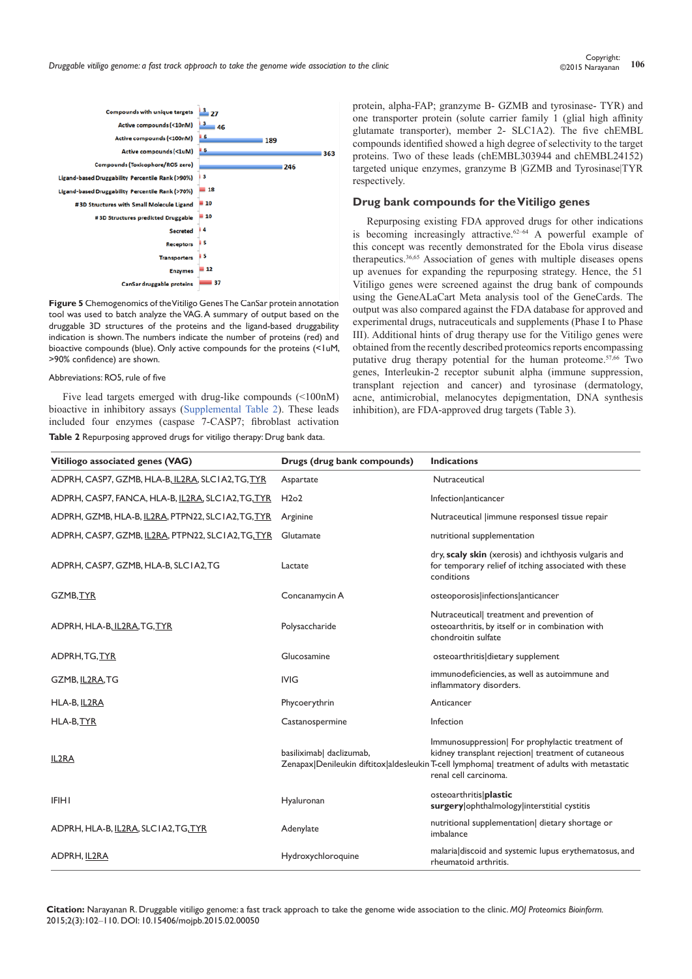*Druggable vitiligo genome: a fast track approach to take the genome wide association to the clinic* **<sup>106</sup>** Copyright:



**Figure 5** Chemogenomics of the Vitiligo Genes The CanSar protein annotation tool was used to batch analyze the VAG. A summary of output based on the druggable 3D structures of the proteins and the ligand-based druggability indication is shown. The numbers indicate the number of proteins (red) and bioactive compounds (blue). Only active compounds for the proteins (<1uM, >90% confidence) are shown.

#### Abbreviations: RO5, rule of five

Five lead targets emerged with drug-like compounds (<100nM) bioactive in inhibitory assays [\(Supplemental Table 2](https://medcraveonline.com/MOJPB/MOJPB-02-00050t2.zip)). These leads included four enzymes (caspase 7-CASP7; fibroblast activation **Table 2** Repurposing approved drugs for vitiligo therapy: Drug bank data.

protein, alpha-FAP; granzyme B- GZMB and tyrosinase- TYR) and one transporter protein (solute carrier family 1 (glial high affinity glutamate transporter), member 2- SLC1A2). The five chEMBL compounds identified showed a high degree of selectivity to the target proteins. Two of these leads (chEMBL303944 and chEMBL24152) targeted unique enzymes, granzyme B |GZMB and Tyrosinase|TYR respectively.

## **Drug bank compounds for the Vitiligo genes**

Repurposing existing FDA approved drugs for other indications is becoming increasingly attractive.<sup>62-64</sup> A powerful example of this concept was recently demonstrated for the Ebola virus disease therapeutics.<sup>36,65</sup> Association of genes with multiple diseases opens up avenues for expanding the repurposing strategy. Hence, the 51 Vitiligo genes were screened against the drug bank of compounds using the GeneALaCart Meta analysis tool of the GeneCards. The output was also compared against the FDA database for approved and experimental drugs, nutraceuticals and supplements (Phase I to Phase III). Additional hints of drug therapy use for the Vitiligo genes were obtained from the recently described proteomics reports encompassing putative drug therapy potential for the human proteome.<sup>57,66</sup> Two genes, Interleukin-2 receptor subunit alpha (immune suppression, transplant rejection and cancer) and tyrosinase (dermatology, acne, antimicrobial, melanocytes depigmentation, DNA synthesis inhibition), are FDA-approved drug targets (Table 3).

| Vitiliogo associated genes (VAG)                   | Drugs (drug bank compounds) | <b>Indications</b>                                                                                                                                                                                                               |
|----------------------------------------------------|-----------------------------|----------------------------------------------------------------------------------------------------------------------------------------------------------------------------------------------------------------------------------|
| ADPRH, CASP7, GZMB, HLA-B, IL2RA, SLCIA2, TG, TYR  | Aspartate                   | Nutraceutical                                                                                                                                                                                                                    |
| ADPRH, CASP7, FANCA, HLA-B, IL2RA, SLCIA2, TG, TYR | H2o2                        | Infection anticancer                                                                                                                                                                                                             |
| ADPRH, GZMB, HLA-B, IL2RA, PTPN22, SLCIA2, TG, TYR | Arginine                    | Nutraceutical limmune responsesl tissue repair                                                                                                                                                                                   |
| ADPRH, CASP7, GZMB, IL2RA, PTPN22, SLCIA2, TG, TYR | Glutamate                   | nutritional supplementation                                                                                                                                                                                                      |
| ADPRH, CASP7, GZMB, HLA-B, SLCIA2, TG              | Lactate                     | dry, scaly skin (xerosis) and ichthyosis vulgaris and<br>for temporary relief of itching associated with these<br>conditions                                                                                                     |
| GZMB, TYR                                          | Concanamycin A              | osteoporosis infections anticancer                                                                                                                                                                                               |
| ADPRH, HLA-B, IL2RA, TG, TYR                       | Polysaccharide              | Nutraceutical  treatment and prevention of<br>osteoarthritis, by itself or in combination with<br>chondroitin sulfate                                                                                                            |
| ADPRH, TG, TYR                                     | Glucosamine                 | osteoarthritis dietary supplement                                                                                                                                                                                                |
| GZMB, IL2RA, TG                                    | <b>IVIG</b>                 | immunodeficiencies, as well as autoimmune and<br>inflammatory disorders.                                                                                                                                                         |
| HLA-B, IL2RA                                       | Phycoerythrin               | Anticancer                                                                                                                                                                                                                       |
| HLA-B, TYR                                         | Castanospermine             | Infection                                                                                                                                                                                                                        |
| IL2RA                                              | basiliximab  daclizumab,    | Immunosuppression  For prophylactic treatment of<br>kidney transplant rejection  treatment of cutaneous<br>Zenapax Denileukin diftitox aldesleukin T-cell lymphoma  treatment of adults with metastatic<br>renal cell carcinoma. |
| <b>IFIHI</b>                                       | Hyaluronan                  | osteoarthritis plastic<br>surgery   ophthalmology   interstitial cystitis                                                                                                                                                        |
| ADPRH, HLA-B, IL2RA, SLCIA2, TG, TYR               | Adenylate                   | nutritional supplementation  dietary shortage or<br>imbalance                                                                                                                                                                    |
| ADPRH, IL2RA                                       | Hydroxychloroquine          | malaria discoid and systemic lupus erythematosus, and<br>rheumatoid arthritis.                                                                                                                                                   |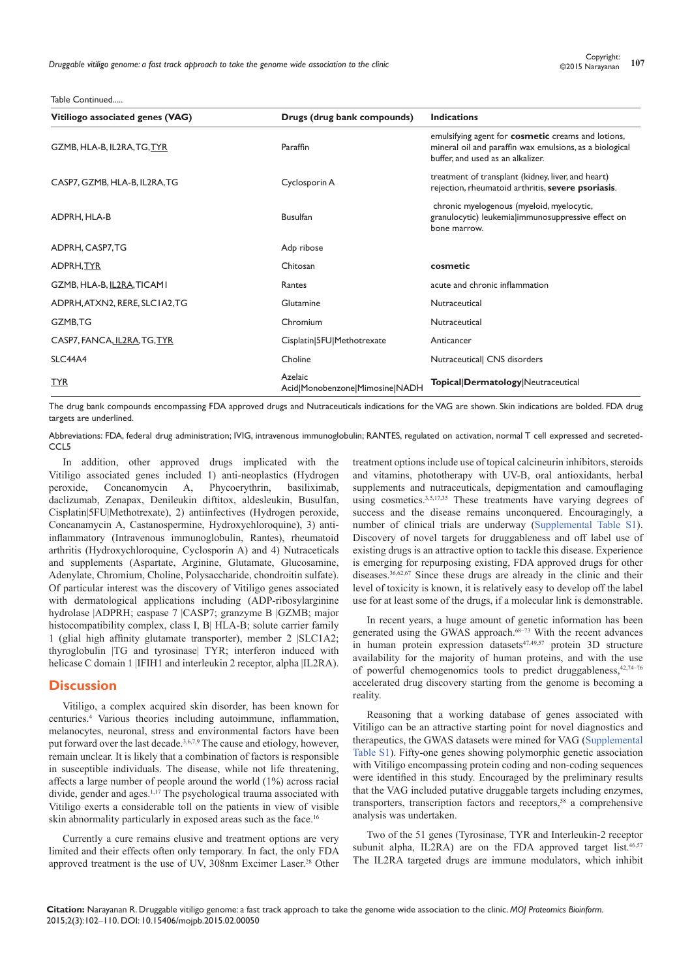Table Continued.....

| Vitiliogo associated genes (VAG) | Drugs (drug bank compounds)               | <b>Indications</b>                                                                                                                                 |
|----------------------------------|-------------------------------------------|----------------------------------------------------------------------------------------------------------------------------------------------------|
| GZMB, HLA-B, IL2RA, TG, TYR      | Paraffin                                  | emulsifying agent for cosmetic creams and lotions,<br>mineral oil and paraffin wax emulsions, as a biological<br>buffer, and used as an alkalizer. |
| CASP7, GZMB, HLA-B, IL2RA, TG    | Cyclosporin A                             | treatment of transplant (kidney, liver, and heart)<br>rejection, rheumatoid arthritis, severe psoriasis.                                           |
| ADPRH, HLA-B                     | <b>Busulfan</b>                           | chronic myelogenous (myeloid, myelocytic,<br>granulocytic) leukemialimmunosuppressive effect on<br>bone marrow.                                    |
| ADPRH, CASP7, TG                 | Adp ribose                                |                                                                                                                                                    |
| ADPRH, TYR                       | Chitosan                                  | cosmetic                                                                                                                                           |
| GZMB, HLA-B, IL2RA, TICAMI       | Rantes                                    | acute and chronic inflammation                                                                                                                     |
| ADPRH, ATXN2, RERE, SLCIA2, TG   | Glutamine                                 | Nutraceutical                                                                                                                                      |
| GZMB,TG                          | Chromium                                  | Nutraceutical                                                                                                                                      |
| CASP7, FANCA, IL2RA, TG, TYR     | Cisplatin 5FU Methotrexate                | Anticancer                                                                                                                                         |
| SLC44A4                          | Choline                                   | Nutraceutical  CNS disorders                                                                                                                       |
| <b>TYR</b>                       | Azelaic<br>Acid Monobenzone Mimosine NADH | Topical Dermatology Neutraceutical                                                                                                                 |

The drug bank compounds encompassing FDA approved drugs and Nutraceuticals indications for the VAG are shown. Skin indications are bolded. FDA drug targets are underlined.

Abbreviations: FDA, federal drug administration; IVIG, intravenous immunoglobulin; RANTES, regulated on activation, normal T cell expressed and secreted-CCL<sub>5</sub>

In addition, other approved drugs implicated with the Vitiligo associated genes included 1) anti-neoplastics (Hydrogen peroxide, Concanomycin A, Phycoerythrin, basiliximab, daclizumab, Zenapax, Denileukin diftitox, aldesleukin, Busulfan, Cisplatin|5FU|Methotrexate), 2) antiinfectives (Hydrogen peroxide, Concanamycin A, Castanospermine, Hydroxychloroquine), 3) antiinflammatory (Intravenous immunoglobulin, Rantes), rheumatoid arthritis (Hydroxychloroquine, Cyclosporin A) and 4) Nutraceticals and supplements (Aspartate, Arginine, Glutamate, Glucosamine, Adenylate, Chromium, Choline, Polysaccharide, chondroitin sulfate). Of particular interest was the discovery of Vitiligo genes associated with dermatological applications including (ADP-ribosylarginine hydrolase |ADPRH; caspase 7 |CASP7; granzyme B |GZMB; major histocompatibility complex, class I, B| HLA-B; solute carrier family 1 (glial high affinity glutamate transporter), member 2 |SLC1A2; thyroglobulin |TG and tyrosinase| TYR; interferon induced with helicase C domain 1 |IFIH1 and interleukin 2 receptor, alpha |IL2RA).

## **Discussion**

Vitiligo, a complex acquired skin disorder, has been known for centuries.4 Various theories including autoimmune, inflammation, melanocytes, neuronal, stress and environmental factors have been put forward over the last decade.<sup>3,6,7,9</sup> The cause and etiology, however, remain unclear. It is likely that a combination of factors is responsible in susceptible individuals. The disease, while not life threatening, affects a large number of people around the world (1%) across racial divide, gender and ages.<sup>1,17</sup> The psychological trauma associated with Vitiligo exerts a considerable toll on the patients in view of visible skin abnormality particularly in exposed areas such as the face.16

Currently a cure remains elusive and treatment options are very limited and their effects often only temporary. In fact, the only FDA approved treatment is the use of UV, 308nm Excimer Laser.28 Other

treatment options include use of topical calcineurin inhibitors, steroids and vitamins, phototherapy with UV-B, oral antioxidants, herbal supplements and nutraceuticals, depigmentation and camouflaging using cosmetics.<sup>3,5,17,35</sup> These treatments have varying degrees of success and the disease remains unconquered. Encouragingly, a number of clinical trials are underway [\(Supplemental Table S1](https://medcraveonline.com/MOJPB/MOJPB-02-00050s.zip)). Discovery of novel targets for druggableness and off label use of existing drugs is an attractive option to tackle this disease. Experience is emerging for repurposing existing, FDA approved drugs for other diseases.36,62,67 Since these drugs are already in the clinic and their level of toxicity is known, it is relatively easy to develop off the label use for at least some of the drugs, if a molecular link is demonstrable.

In recent years, a huge amount of genetic information has been generated using the GWAS approach.<sup>68-73</sup> With the recent advances in human protein expression datasets<sup>47,49,57</sup> protein 3D structure availability for the majority of human proteins, and with the use of powerful chemogenomics tools to predict druggableness,  $42,74-76$ accelerated drug discovery starting from the genome is becoming a reality.

Reasoning that a working database of genes associated with Vitiligo can be an attractive starting point for novel diagnostics and therapeutics, the GWAS datasets were mined for VAG ([Supplemental](https://medcraveonline.com/MOJPB/MOJPB-02-00050s.zip)  [Table S1\)](https://medcraveonline.com/MOJPB/MOJPB-02-00050s.zip). Fifty-one genes showing polymorphic genetic association with Vitiligo encompassing protein coding and non-coding sequences were identified in this study. Encouraged by the preliminary results that the VAG included putative druggable targets including enzymes, transporters, transcription factors and receptors,<sup>58</sup> a comprehensive analysis was undertaken.

Two of the 51 genes (Tyrosinase, TYR and Interleukin-2 receptor subunit alpha, IL2RA) are on the FDA approved target list.<sup>46,57</sup> The IL2RA targeted drugs are immune modulators, which inhibit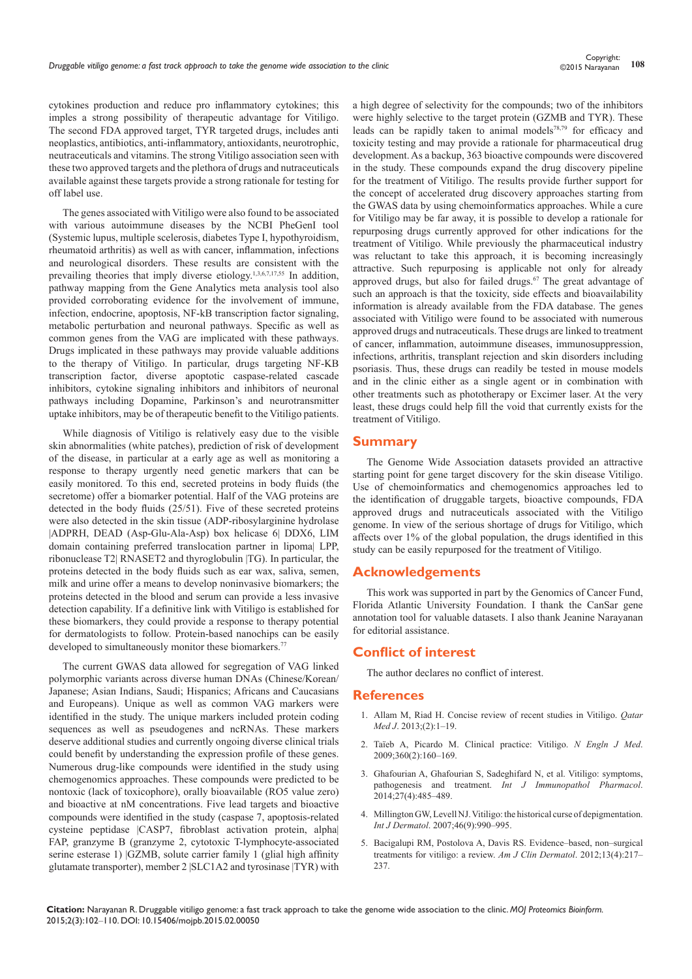cytokines production and reduce pro inflammatory cytokines; this imples a strong possibility of therapeutic advantage for Vitiligo. The second FDA approved target, TYR targeted drugs, includes anti neoplastics, antibiotics, anti-inflammatory, antioxidants, neurotrophic, neutraceuticals and vitamins. The strong Vitiligo association seen with these two approved targets and the plethora of drugs and nutraceuticals available against these targets provide a strong rationale for testing for off label use.

The genes associated with Vitiligo were also found to be associated with various autoimmune diseases by the NCBI PheGenI tool (Systemic lupus, multiple scelerosis, diabetes Type I, hypothyroidism, rheumatoid arthritis) as well as with cancer, inflammation, infections and neurological disorders. These results are consistent with the prevailing theories that imply diverse etiology.<sup>1,3,6,7,17,55</sup> In addition, pathway mapping from the Gene Analytics meta analysis tool also provided corroborating evidence for the involvement of immune, infection, endocrine, apoptosis, NF-kB transcription factor signaling, metabolic perturbation and neuronal pathways. Specific as well as common genes from the VAG are implicated with these pathways. Drugs implicated in these pathways may provide valuable additions to the therapy of Vitiligo. In particular, drugs targeting NF-KB transcription factor, diverse apoptotic caspase-related cascade inhibitors, cytokine signaling inhibitors and inhibitors of neuronal pathways including Dopamine, Parkinson's and neurotransmitter uptake inhibitors, may be of therapeutic benefit to the Vitiligo patients.

While diagnosis of Vitiligo is relatively easy due to the visible skin abnormalities (white patches), prediction of risk of development of the disease, in particular at a early age as well as monitoring a response to therapy urgently need genetic markers that can be easily monitored. To this end, secreted proteins in body fluids (the secretome) offer a biomarker potential. Half of the VAG proteins are detected in the body fluids (25/51). Five of these secreted proteins were also detected in the skin tissue (ADP-ribosylarginine hydrolase |ADPRH, DEAD (Asp-Glu-Ala-Asp) box helicase 6| DDX6, LIM domain containing preferred translocation partner in lipoma| LPP, ribonuclease T2| RNASET2 and thyroglobulin |TG). In particular, the proteins detected in the body fluids such as ear wax, saliva, semen, milk and urine offer a means to develop noninvasive biomarkers; the proteins detected in the blood and serum can provide a less invasive detection capability. If a definitive link with Vitiligo is established for these biomarkers, they could provide a response to therapy potential for dermatologists to follow. Protein-based nanochips can be easily developed to simultaneously monitor these biomarkers.<sup>77</sup>

The current GWAS data allowed for segregation of VAG linked polymorphic variants across diverse human DNAs (Chinese/Korean/ Japanese; Asian Indians, Saudi; Hispanics; Africans and Caucasians and Europeans). Unique as well as common VAG markers were identified in the study. The unique markers included protein coding sequences as well as pseudogenes and ncRNAs. These markers deserve additional studies and currently ongoing diverse clinical trials could benefit by understanding the expression profile of these genes. Numerous drug-like compounds were identified in the study using chemogenomics approaches. These compounds were predicted to be nontoxic (lack of toxicophore), orally bioavailable (RO5 value zero) and bioactive at nM concentrations. Five lead targets and bioactive compounds were identified in the study (caspase 7, apoptosis-related cysteine peptidase |CASP7, fibroblast activation protein, alpha| FAP, granzyme B (granzyme 2, cytotoxic T-lymphocyte-associated serine esterase 1) |GZMB, solute carrier family 1 (glial high affinity glutamate transporter), member 2 |SLC1A2 and tyrosinase |TYR) with

a high degree of selectivity for the compounds; two of the inhibitors were highly selective to the target protein (GZMB and TYR). These leads can be rapidly taken to animal models<sup>78,79</sup> for efficacy and toxicity testing and may provide a rationale for pharmaceutical drug development. As a backup, 363 bioactive compounds were discovered in the study. These compounds expand the drug discovery pipeline for the treatment of Vitiligo. The results provide further support for the concept of accelerated drug discovery approaches starting from the GWAS data by using chemoinformatics approaches. While a cure for Vitiligo may be far away, it is possible to develop a rationale for repurposing drugs currently approved for other indications for the treatment of Vitiligo. While previously the pharmaceutical industry was reluctant to take this approach, it is becoming increasingly attractive. Such repurposing is applicable not only for already approved drugs, but also for failed drugs.<sup>67</sup> The great advantage of such an approach is that the toxicity, side effects and bioavailability information is already available from the FDA database. The genes associated with Vitiligo were found to be associated with numerous approved drugs and nutraceuticals. These drugs are linked to treatment of cancer, inflammation, autoimmune diseases, immunosuppression, infections, arthritis, transplant rejection and skin disorders including psoriasis. Thus, these drugs can readily be tested in mouse models and in the clinic either as a single agent or in combination with other treatments such as phototherapy or Excimer laser. At the very least, these drugs could help fill the void that currently exists for the treatment of Vitiligo.

## **Summary**

The Genome Wide Association datasets provided an attractive starting point for gene target discovery for the skin disease Vitiligo. Use of chemoinformatics and chemogenomics approaches led to the identification of druggable targets, bioactive compounds, FDA approved drugs and nutraceuticals associated with the Vitiligo genome. In view of the serious shortage of drugs for Vitiligo, which affects over 1% of the global population, the drugs identified in this study can be easily repurposed for the treatment of Vitiligo.

## **Acknowledgements**

This work was supported in part by the Genomics of Cancer Fund, Florida Atlantic University Foundation. I thank the CanSar gene annotation tool for valuable datasets. I also thank Jeanine Narayanan for editorial assistance.

## **Conflict of interest**

The author declares no conflict of interest.

#### **References**

- 1. [Allam M, Riad H. Concise review of recent studies in Vitiligo.](http://www.ncbi.nlm.nih.gov/pubmed/25003059) *Qatar Med J*[. 2013;\(2\):1–19.](http://www.ncbi.nlm.nih.gov/pubmed/25003059)
- 2. [Taïeb A, Picardo M. Clinical practice: Vitiligo.](http://www.ncbi.nlm.nih.gov/pubmed/19129529) *N Engln J Med*. [2009;360\(2\):160–169.](http://www.ncbi.nlm.nih.gov/pubmed/19129529)
- 3. [Ghafourian A, Ghafourian S, Sadeghifard N, et al. Vitiligo: symptoms,](http://www.ncbi.nlm.nih.gov/pubmed/25572727)  pathogenesis and treatment. *[Int J Immunopathol Pharmacol](http://www.ncbi.nlm.nih.gov/pubmed/25572727)*. [2014;27\(4\):485–489.](http://www.ncbi.nlm.nih.gov/pubmed/25572727)
- 4. [Millington GW, Levell NJ. Vitiligo: the historical curse of depigmentation.](http://www.ncbi.nlm.nih.gov/pubmed/17822509)  *Int J Dermatol*[. 2007;46\(9\):990–995.](http://www.ncbi.nlm.nih.gov/pubmed/17822509)
- 5. [Bacigalupi RM, Postolova A, Davis RS. Evidence–based, non–surgical](http://www.ncbi.nlm.nih.gov/pubmed/22423621)  [treatments for vitiligo: a review.](http://www.ncbi.nlm.nih.gov/pubmed/22423621) *Am J Clin Dermatol*. 2012;13(4):217– [237.](http://www.ncbi.nlm.nih.gov/pubmed/22423621)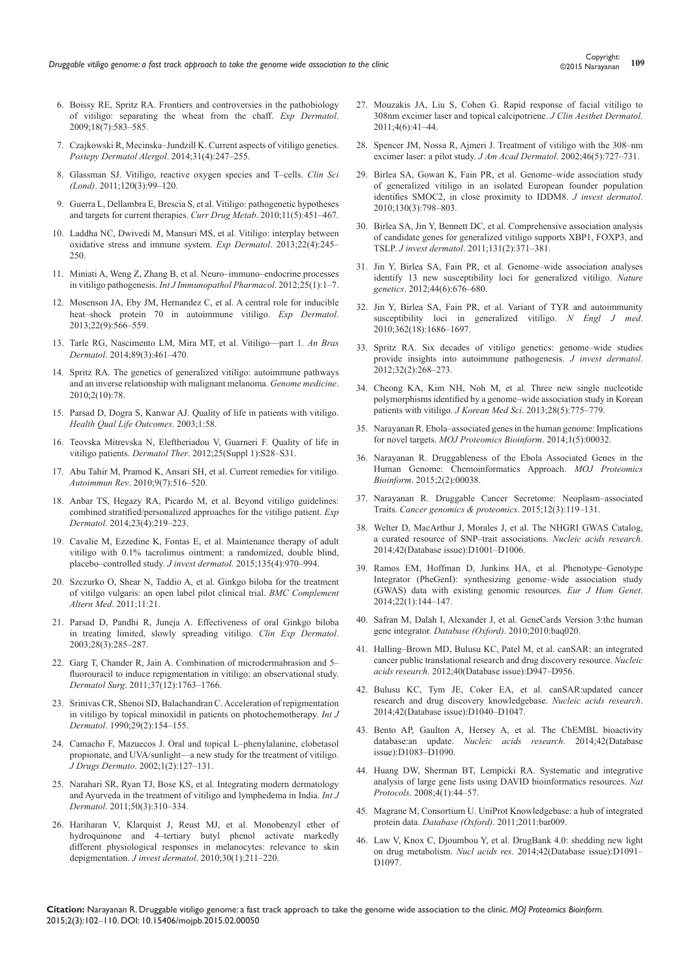- 6. [Boissy RE, Spritz RA. Frontiers and controversies in the pathobiology](http://www.ncbi.nlm.nih.gov/pubmed/19320739)  [of vitiligo: separating the wheat from the chaff.](http://www.ncbi.nlm.nih.gov/pubmed/19320739) *Exp Dermatol*. [2009;18\(7\):583–585.](http://www.ncbi.nlm.nih.gov/pubmed/19320739)
- 7. [Czajkowski R, Mecinska–Jundzill K. Current aspects of vitiligo genetics.](http://www.ncbi.nlm.nih.gov/pubmed/25254010)  *[Postepy Dermatol Alergol](http://www.ncbi.nlm.nih.gov/pubmed/25254010)*. 2014;31(4):247–255.
- 8. [Glassman SJ. Vitiligo, reactive oxygen species and T–cells.](http://www.ncbi.nlm.nih.gov/pubmed/20958268) *Clin Sci (Lond)*[. 2011;120\(3\):99–120.](http://www.ncbi.nlm.nih.gov/pubmed/20958268)
- 9. [Guerra L, Dellambra E, Brescia S, et al. Vitiligo: pathogenetic hypotheses](http://www.ncbi.nlm.nih.gov/pubmed/20540698)  [and targets for current therapies.](http://www.ncbi.nlm.nih.gov/pubmed/20540698) *Curr Drug Metab*. 2010;11(5):451–467.
- 10. [Laddha NC, Dwivedi M, Mansuri MS, et al. Vitiligo: interplay between](http://www.ncbi.nlm.nih.gov/pubmed/23425123)  [oxidative stress and immune system.](http://www.ncbi.nlm.nih.gov/pubmed/23425123) *Exp Dermatol*. 2013;22(4):245– [250.](http://www.ncbi.nlm.nih.gov/pubmed/23425123)
- 11. [Miniati A, Weng Z, Zhang B, et al. Neuro–immuno–endocrine processes](http://www.ncbi.nlm.nih.gov/pubmed/22507311)  in vitiligo pathogenesis. *[Int J Immunopathol Pharmacol](http://www.ncbi.nlm.nih.gov/pubmed/22507311)*. 2012;25(1):1–7.
- 12. [Mosenson JA, Eby JM, Hernandez C, et al. A central role for inducible](http://www.ncbi.nlm.nih.gov/pubmed/23786523)  [heat–shock protein 70 in autoimmune vitiligo.](http://www.ncbi.nlm.nih.gov/pubmed/23786523) *Exp Dermatol*. [2013;22\(9\):566–559.](http://www.ncbi.nlm.nih.gov/pubmed/23786523)
- 13. [Tarle RG, Nascimento LM, Mira MT, et al. Vitiligo––part 1.](http://www.ncbi.nlm.nih.gov/pubmed/24937821) *An Bras Dermatol*[. 2014;89\(3\):461–470.](http://www.ncbi.nlm.nih.gov/pubmed/24937821)
- 14. [Spritz RA. The genetics of generalized vitiligo: autoimmune pathways](http://www.ncbi.nlm.nih.gov/pubmed/20959028)  [and an inverse relationship with malignant melanoma.](http://www.ncbi.nlm.nih.gov/pubmed/20959028) *Genome medicine*. [2010;2\(10\):78.](http://www.ncbi.nlm.nih.gov/pubmed/20959028)
- 15. [Parsad D, Dogra S, Kanwar AJ. Quality of life in patients with vitiligo.](http://www.ncbi.nlm.nih.gov/pubmed/14613564/)  *[Health Qual Life Outcomes](http://www.ncbi.nlm.nih.gov/pubmed/14613564/)*. 2003;1:58.
- 16. [Teovska Mitrevska N, Eleftheriadou V, Guarneri F. Quality of life in](http://www.ncbi.nlm.nih.gov/pubmed/23237035)  vitiligo patients. *Dermatol Ther*[. 2012;25\(Suppl 1\):S28–S31.](http://www.ncbi.nlm.nih.gov/pubmed/23237035)
- 17. [Abu Tahir M, Pramod K, Ansari SH, et al. Current remedies for vitiligo.](http://www.ncbi.nlm.nih.gov/pubmed/20149899)  *Autoimmun Rev*[. 2010;9\(7\):516–520.](http://www.ncbi.nlm.nih.gov/pubmed/20149899)
- 18. [Anbar TS, Hegazy RA, Picardo M, et al. Beyond vitiligo guidelines:](http://www.ncbi.nlm.nih.gov/pubmed/24521008)  [combined stratified/personalized approaches for the vitiligo patient.](http://www.ncbi.nlm.nih.gov/pubmed/24521008) *Exp Dermatol*[. 2014;23\(4\):219–223.](http://www.ncbi.nlm.nih.gov/pubmed/24521008)
- 19. [Cavalie M, Ezzedine K, Fontas E, et al. Maintenance therapy of adult](http://www.ncbi.nlm.nih.gov/pubmed/25521460)  [vitiligo with 0.1% tacrolimus ointment: a randomized, double blind,](http://www.ncbi.nlm.nih.gov/pubmed/25521460)  [placebo–controlled study.](http://www.ncbi.nlm.nih.gov/pubmed/25521460) *J invest dermatol*. 2015;135(4):970–994.
- 20. [Szczurko O, Shear N, Taddio A, et al. Ginkgo biloba for the treatment](http://www.ncbi.nlm.nih.gov/pubmed/21406109)  [of vitilgo vulgaris: an open label pilot clinical trial.](http://www.ncbi.nlm.nih.gov/pubmed/21406109) *BMC Complement Altern Med*[. 2011;11:21.](http://www.ncbi.nlm.nih.gov/pubmed/21406109)
- 21. [Parsad D, Pandhi R, Juneja A. Effectiveness of oral Ginkgo biloba](http://www.ncbi.nlm.nih.gov/pubmed/12780716)  [in treating limited, slowly spreading vitiligo.](http://www.ncbi.nlm.nih.gov/pubmed/12780716) *Clin Exp Dermatol*. [2003;28\(3\):285–287.](http://www.ncbi.nlm.nih.gov/pubmed/12780716)
- 22. [Garg T, Chander R, Jain A. Combination of microdermabrasion and 5–](http://www.ncbi.nlm.nih.gov/pubmed/21834930) [fluorouracil to induce repigmentation in vitiligo: an observational study.](http://www.ncbi.nlm.nih.gov/pubmed/21834930)  *Dermatol Surg*[. 2011;37\(12\):1763–1766.](http://www.ncbi.nlm.nih.gov/pubmed/21834930)
- 23. [Srinivas CR, Shenoi SD, Balachandran C. Acceleration of repigmentation](http://www.ncbi.nlm.nih.gov/pubmed/2323875)  [in vitiligo by topical minoxidil in patients on photochemotherapy.](http://www.ncbi.nlm.nih.gov/pubmed/2323875) *Int J Dermatol*[. 1990;29\(2\):154–155.](http://www.ncbi.nlm.nih.gov/pubmed/2323875)
- 24. [Camacho F, Mazuecos J. Oral and topical L–phenylalanine, clobetasol](http://www.ncbi.nlm.nih.gov/pubmed/12847735)  [propionate, and UVA/sunlight––a new study for the treatment of vitiligo.](http://www.ncbi.nlm.nih.gov/pubmed/12847735)  *J Drugs Dermato*[. 2002;1\(2\):127–131.](http://www.ncbi.nlm.nih.gov/pubmed/12847735)
- 25. [Narahari SR, Ryan TJ, Bose KS, et al. Integrating modern dermatology](http://www.ncbi.nlm.nih.gov/pubmed/21342165)  [and Ayurveda in the treatment of vitiligo and lymphedema in India.](http://www.ncbi.nlm.nih.gov/pubmed/21342165) *Int J Dermatol*[. 2011;50\(3\):310–334.](http://www.ncbi.nlm.nih.gov/pubmed/21342165)
- 26. [Hariharan V, Klarquist J, Reust MJ, et al. Monobenzyl ether of](http://www.ncbi.nlm.nih.gov/pubmed/19657355)  [hydroquinone and 4–tertiary butyl phenol activate markedly](http://www.ncbi.nlm.nih.gov/pubmed/19657355)  [different physiological responses in melanocytes: relevance to skin](http://www.ncbi.nlm.nih.gov/pubmed/19657355)  depigmentation. *J invest dermatol*[. 2010;30\(1\):211–220.](http://www.ncbi.nlm.nih.gov/pubmed/19657355)
- 27. [Mouzakis JA, Liu S, Cohen G. Rapid response of facial vitiligo to](http://www.ncbi.nlm.nih.gov/pubmed/21779415)  [308nm excimer laser and topical calcipotriene.](http://www.ncbi.nlm.nih.gov/pubmed/21779415) *J Clin Aesthet Dermatol*.  $2011 \cdot 4(6) \cdot 41 - 44$
- 28. [Spencer JM, Nossa R, Ajmeri J. Treatment of vitiligo with the 308–nm](http://www.ncbi.nlm.nih.gov/pubmed/12004315)  [excimer laser: a pilot study.](http://www.ncbi.nlm.nih.gov/pubmed/12004315) *J Am Acad Dermatol*. 2002;46(5):727–731.
- 29. [Birlea SA, Gowan K, Fain PR, et al. Genome–wide association study](http://www.ncbi.nlm.nih.gov/pubmed/19890347)  [of generalized vitiligo in an isolated European founder population](http://www.ncbi.nlm.nih.gov/pubmed/19890347)  [identifies SMOC2, in close proximity to IDDM8.](http://www.ncbi.nlm.nih.gov/pubmed/19890347) *J invest dermatol*. [2010;130\(3\):798–803.](http://www.ncbi.nlm.nih.gov/pubmed/19890347)
- 30. [Birlea SA, Jin Y, Bennett DC, et al. Comprehensive association analysis](http://www.ncbi.nlm.nih.gov/pubmed/21085187)  [of candidate genes for generalized vitiligo supports XBP1, FOXP3, and](http://www.ncbi.nlm.nih.gov/pubmed/21085187)  TSLP. *J invest dermatol*[. 2011;131\(2\):371–381.](http://www.ncbi.nlm.nih.gov/pubmed/21085187)
- 31. [Jin Y, Birlea SA, Fain PR, et al. Genome–wide association analyses](http://www.ncbi.nlm.nih.gov/pubmed/22561518)  [identify 13 new susceptibility loci for generalized vitiligo.](http://www.ncbi.nlm.nih.gov/pubmed/22561518) *Nature genetics*[. 2012;44\(6\):676–680.](http://www.ncbi.nlm.nih.gov/pubmed/22561518)
- 32. [Jin Y, Birlea SA, Fain PR, et al. Variant of TYR and autoimmunity](http://www.nejm.org/doi/full/10.1056/NEJMoa0908547)  [susceptibility loci in generalized vitiligo.](http://www.nejm.org/doi/full/10.1056/NEJMoa0908547) *N Engl J med*. [2010;362\(18\):1686–1697.](http://www.nejm.org/doi/full/10.1056/NEJMoa0908547)
- 33. [Spritz RA. Six decades of vitiligo genetics: genome–wide studies](http://www.ncbi.nlm.nih.gov/pubmed/21993561)  [provide insights into autoimmune pathogenesis.](http://www.ncbi.nlm.nih.gov/pubmed/21993561) *J invest dermatol*. [2012;32\(2\):268–273.](http://www.ncbi.nlm.nih.gov/pubmed/21993561)
- 34. [Cheong KA, Kim NH, Noh M, et al. Three new single nucleotide](http://www.ncbi.nlm.nih.gov/pubmed/23678272)  [polymorphisms identified by a genome–wide association study in Korean](http://www.ncbi.nlm.nih.gov/pubmed/23678272)  patients with vitiligo. *J Korean Med Sci*[. 2013;28\(5\):775–779.](http://www.ncbi.nlm.nih.gov/pubmed/23678272)
- 35. [Narayanan R. Ebola–associated genes in the human genome: Implications](http://medcraveonline.com/MOJPB/MOJPB-01-00032.pdf)  for novel targets. *[MOJ Proteomics Bioinform](http://medcraveonline.com/MOJPB/MOJPB-01-00032.pdf)*. 2014;1(5):00032.
- 36. [Narayanan R. Druggableness of the Ebola Associated Genes in the](http://medcraveonline.com/MOJPB/MOJPB-02-00038.pdf)  [Human Genome: Chemoinformatics Approach.](http://medcraveonline.com/MOJPB/MOJPB-02-00038.pdf) *MOJ Proteomics Bioinform*[. 2015;2\(2\):00038.](http://medcraveonline.com/MOJPB/MOJPB-02-00038.pdf)
- 37. [Narayanan R. Druggable Cancer Secretome: Neoplasm–associated](http://www.ncbi.nlm.nih.gov/pubmed/25977171)  Traits. *[Cancer genomics & proteomics](http://www.ncbi.nlm.nih.gov/pubmed/25977171)*. 2015;12(3):119–131.
- 38. [Welter D, MacArthur J, Morales J, et al. The NHGRI GWAS Catalog,](http://www.ncbi.nlm.nih.gov/pubmed/24316577)  [a curated resource of SNP–trait associations.](http://www.ncbi.nlm.nih.gov/pubmed/24316577) *Nucleic acids research*. [2014;42\(Database issue\):D1001–D1006.](http://www.ncbi.nlm.nih.gov/pubmed/24316577)
- 39. [Ramos EM, Hoffman D, Junkins HA, et al. Phenotype–Genotype](http://www.ncbi.nlm.nih.gov/pubmed/23695286)  [Integrator \(PheGenI\): synthesizing genome–wide association study](http://www.ncbi.nlm.nih.gov/pubmed/23695286)  [\(GWAS\) data with existing genomic resources.](http://www.ncbi.nlm.nih.gov/pubmed/23695286) *Eur J Hum Genet*. [2014;22\(1\):144–147.](http://www.ncbi.nlm.nih.gov/pubmed/23695286)
- 40. [Safran M, Dalah I, Alexander J, et al. GeneCards Version 3:the human](http://www.ncbi.nlm.nih.gov/pubmed/20689021)  gene integrator. *Database (Oxford)*[. 2010;2010:baq020.](http://www.ncbi.nlm.nih.gov/pubmed/20689021)
- 41. [Halling–Brown MD, Bulusu KC, Patel M, et al. canSAR: an integrated](http://www.ncbi.nlm.nih.gov/pubmed/22013161)  [cancer public translational research and drug discovery resource.](http://www.ncbi.nlm.nih.gov/pubmed/22013161) *Nucleic acids research*[. 2012;40\(Database issue\):D947–D956.](http://www.ncbi.nlm.nih.gov/pubmed/22013161)
- 42. [Bulusu KC, Tym JE, Coker EA, et al. canSAR:updated cancer](http://www.ncbi.nlm.nih.gov/pubmed/24304894)  [research and drug discovery knowledgebase.](http://www.ncbi.nlm.nih.gov/pubmed/24304894) *Nucleic acids research*. [2014;42\(Database issue\):D1040–D1047.](http://www.ncbi.nlm.nih.gov/pubmed/24304894)
- 43. [Bento AP, Gaulton A, Hersey A, et al. The ChEMBL bioactivity](http://www.ncbi.nlm.nih.gov/pubmed/24214965)  database:an update. *[Nucleic acids research](http://www.ncbi.nlm.nih.gov/pubmed/24214965)*. 2014;42(Database [issue\):D1083–D1090.](http://www.ncbi.nlm.nih.gov/pubmed/24214965)
- 44. [Huang DW, Sherman BT, Lempicki RA. Systematic and integrative](http://www.ncbi.nlm.nih.gov/pubmed/19131956)  [analysis of large gene lists using DAVID bioinformatics resources.](http://www.ncbi.nlm.nih.gov/pubmed/19131956) *Nat Protocols*[. 2008;4\(1\):44–57.](http://www.ncbi.nlm.nih.gov/pubmed/19131956)
- 45. [Magrane M, Consortium U. UniProt Knowledgebase: a hub of integrated](http://www.ncbi.nlm.nih.gov/pubmed/21447597)  protein data. *Database (Oxford)*[. 2011;2011:bar009.](http://www.ncbi.nlm.nih.gov/pubmed/21447597)
- 46. [Law V, Knox C, Djoumbou Y, et al. DrugBank 4.0: shedding new light](http://www.ncbi.nlm.nih.gov/pubmed/24203711)  on drug metabolism. *Nucl acids res*[. 2014;42\(Database issue\):D1091–](http://www.ncbi.nlm.nih.gov/pubmed/24203711) [D1097.](http://www.ncbi.nlm.nih.gov/pubmed/24203711)